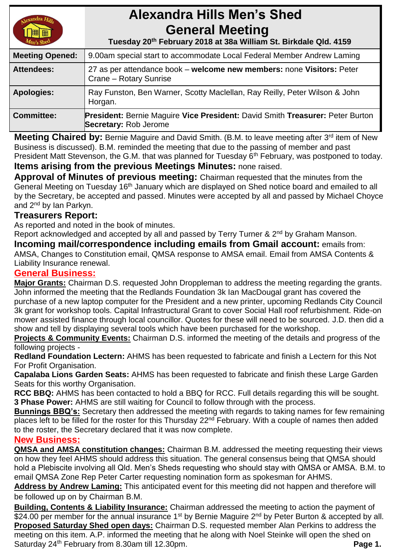# **Alexandra Hills Men's Shed General Meeting**

 **Tuesday 20th February 2018 at 38a William St. Birkdale Qld. 4159** 

| <b>Meeting Opened:</b> | 9.00am special start to accommodate Local Federal Member Andrew Laming                                               |  |
|------------------------|----------------------------------------------------------------------------------------------------------------------|--|
| <b>Attendees:</b>      | 27 as per attendance book – welcome new members: none Visitors: Peter<br>Crane - Rotary Sunrise                      |  |
| <b>Apologies:</b>      | Ray Funston, Ben Warner, Scotty Maclellan, Ray Reilly, Peter Wilson & John<br>Horgan.                                |  |
| <b>Committee:</b>      | <b>President: Bernie Maguire Vice President: David Smith Treasurer: Peter Burton</b><br><b>Secretary: Rob Jerome</b> |  |

Meeting Chaired by: Bernie Maguire and David Smith. (B.M. to leave meeting after 3<sup>rd</sup> item of New Business is discussed). B.M. reminded the meeting that due to the passing of member and past President Matt Stevenson, the G.M. that was planned for Tuesday 6<sup>th</sup> February, was postponed to today. **Items arising from the previous Meetings Minutes:** none raised.

**Approval of Minutes of previous meeting:** Chairman requested that the minutes from the General Meeting on Tuesday 16<sup>th</sup> January which are displayed on Shed notice board and emailed to all by the Secretary, be accepted and passed. Minutes were accepted by all and passed by Michael Choyce and 2<sup>nd</sup> by Ian Parkyn.

# **Treasurers Report:**

As reported and noted in the book of minutes.

Report acknowledged and accepted by all and passed by Terry Turner & 2<sup>nd</sup> by Graham Manson. **Incoming mail/correspondence including emails from Gmail account:** emails from:

AMSA, Changes to Constitution email, QMSA response to AMSA email. Email from AMSA Contents & Liability Insurance renewal.

# **General Business:**

**Major Grants:** Chairman D.S. requested John Droppleman to address the meeting regarding the grants. John informed the meeting that the Redlands Foundation 3k Ian MacDougal grant has covered the purchase of a new laptop computer for the President and a new printer, upcoming Redlands City Council 3k grant for workshop tools. Capital Infrastructural Grant to cover Social Hall roof refurbishment. Ride-on mower assisted finance through local councillor. Quotes for these will need to be sourced. J.D. then did a show and tell by displaying several tools which have been purchased for the workshop.

**Projects & Community Events:** Chairman D.S. informed the meeting of the details and progress of the following projects -

**Redland Foundation Lectern:** AHMS has been requested to fabricate and finish a Lectern for this Not For Profit Organisation.

**Capalaba Lions Garden Seats:** AHMS has been requested to fabricate and finish these Large Garden Seats for this worthy Organisation.

**RCC BBQ:** AHMS has been contacted to hold a BBQ for RCC. Full details regarding this will be sought. **3 Phase Power:** AHMS are still waiting for Council to follow through with the process.

**Bunnings BBQ's:** Secretary then addressed the meeting with regards to taking names for few remaining places left to be filled for the roster for this Thursday 22<sup>nd</sup> February. With a couple of names then added to the roster, the Secretary declared that it was now complete.

# **New Business:**

**QMSA and AMSA constitution changes:** Chairman B.M. addressed the meeting requesting their views on how they feel AHMS should address this situation. The general consensus being that QMSA should hold a Plebiscite involving all Qld. Men's Sheds requesting who should stay with QMSA or AMSA. B.M. to email QMSA Zone Rep Peter Carter requesting nomination form as spokesman for AHMS.

**Address by Andrew Laming:** This anticipated event for this meeting did not happen and therefore will be followed up on by Chairman B.M.

**Building, Contents & Liability Insurance:** Chairman addressed the meeting to action the payment of \$24.00 per member for the annual insurance 1<sup>st</sup> by Bernie Maguire 2<sup>nd</sup> by Peter Burton & accepted by all. **Proposed Saturday Shed open days:** Chairman D.S. requested member Alan Perkins to address the meeting on this item. A.P. informed the meeting that he along with Noel Steinke will open the shed on Saturday 24<sup>th</sup> February from 8.30am till 12.30pm. **Page 1. Page 1. Page 1.**